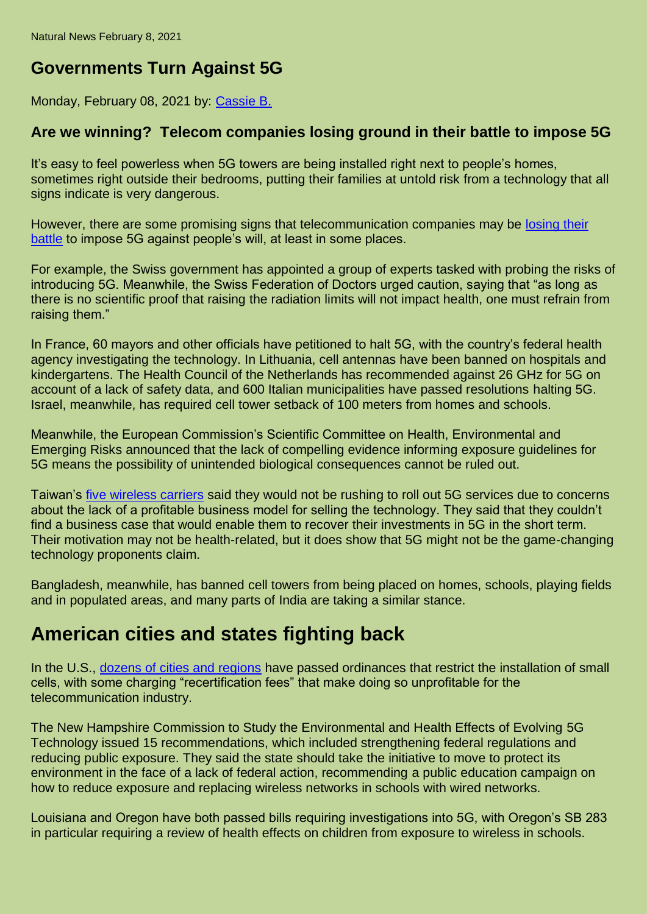## **Governments Turn Against 5G**

Monday, February 08, 2021 by: [Cassie B.](https://www.naturalnews.com/author/isabelle)

## **Are we winning? Telecom companies losing ground in their battle to impose 5G**

It's easy to feel powerless when 5G towers are being installed right next to people's homes, sometimes right outside their bedrooms, putting their families at untold risk from a technology that all signs indicate is very dangerous.

However, there are some promising signs that telecommunication companies may be [losing their](https://www.globalresearch.ca/telcos-losing-battle-impose-5g/5691065)  [battle](https://www.globalresearch.ca/telcos-losing-battle-impose-5g/5691065) to impose 5G against people's will, at least in some places.

For example, the Swiss government has appointed a group of experts tasked with probing the risks of introducing 5G. Meanwhile, the Swiss Federation of Doctors urged caution, saying that "as long as there is no scientific proof that raising the radiation limits will not impact health, one must refrain from raising them."

In France, 60 mayors and other officials have petitioned to halt 5G, with the country's federal health agency investigating the technology. In Lithuania, cell antennas have been banned on hospitals and kindergartens. The Health Council of the Netherlands has recommended against 26 GHz for 5G on account of a lack of safety data, and 600 Italian municipalities have passed resolutions halting 5G. Israel, meanwhile, has required cell tower setback of 100 meters from homes and schools.

Meanwhile, the European Commission's Scientific Committee on Health, Environmental and Emerging Risks announced that the lack of compelling evidence informing exposure guidelines for 5G means the possibility of unintended biological consequences cannot be ruled out.

Taiwan's [five wireless carriers](http://www.taipeitimes.com/News/biz/archives/2018/12/28/2003706883) said they would not be rushing to roll out 5G services due to concerns about the lack of a profitable business model for selling the technology. They said that they couldn't find a business case that would enable them to recover their investments in 5G in the short term. Their motivation may not be health-related, but it does show that 5G might not be the game-changing technology proponents claim.

Bangladesh, meanwhile, has banned cell towers from being placed on homes, schools, playing fields and in populated areas, and many parts of India are taking a similar stance.

## **American cities and states fighting back**

In the U.S., [dozens of cities and regions](https://ehtrust.org/usa-city-ordinances-to-limit-and-control-wireless-facilities-small-cells-in-rights-of-ways/) have passed ordinances that restrict the installation of small cells, with some charging "recertification fees" that make doing so unprofitable for the telecommunication industry.

The New Hampshire Commission to Study the Environmental and Health Effects of Evolving 5G Technology issued 15 recommendations, which included strengthening federal regulations and reducing public exposure. They said the state should take the initiative to move to protect its environment in the face of a lack of federal action, recommending a public education campaign on how to reduce exposure and replacing wireless networks in schools with wired networks.

Louisiana and Oregon have both passed bills requiring investigations into 5G, with Oregon's SB 283 in particular requiring a review of health effects on children from exposure to wireless in schools.